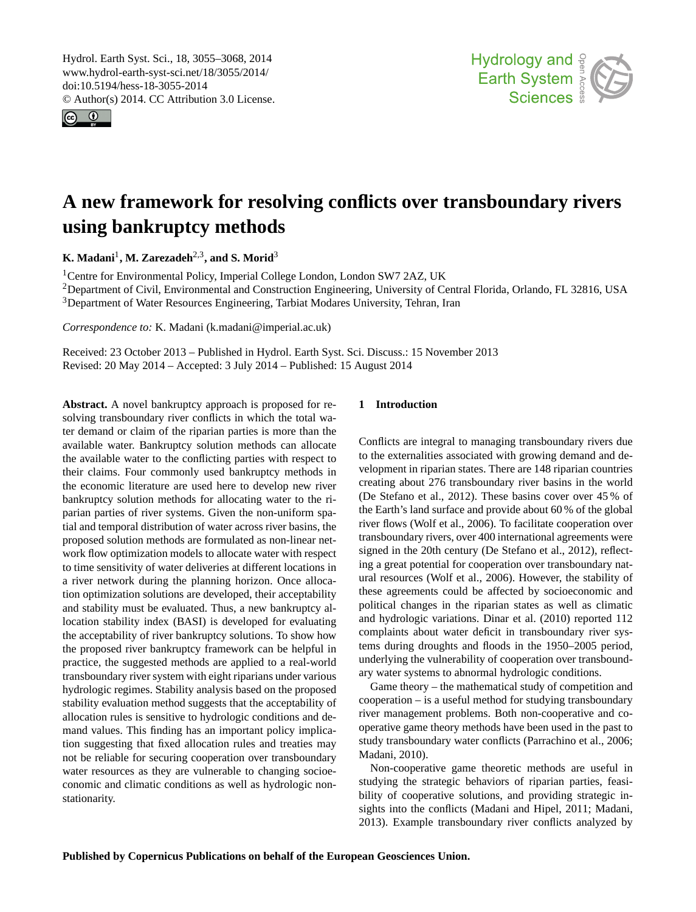<span id="page-0-0"></span>Hydrol. Earth Syst. Sci., 18, 3055–3068, 2014 www.hydrol-earth-syst-sci.net/18/3055/2014/ doi:10.5194/hess-18-3055-2014 © Author(s) 2014. CC Attribution 3.0 License.





# **A new framework for resolving conflicts over transboundary rivers using bankruptcy methods**

**K. Madani**<sup>1</sup> **, M. Zarezadeh**2,3**, and S. Morid**<sup>3</sup>

<sup>1</sup>Centre for Environmental Policy, Imperial College London, London SW7 2AZ, UK

<sup>2</sup>Department of Civil, Environmental and Construction Engineering, University of Central Florida, Orlando, FL 32816, USA <sup>3</sup>Department of Water Resources Engineering, Tarbiat Modares University, Tehran, Iran

*Correspondence to:* K. Madani (k.madani@imperial.ac.uk)

Received: 23 October 2013 – Published in Hydrol. Earth Syst. Sci. Discuss.: 15 November 2013 Revised: 20 May 2014 – Accepted: 3 July 2014 – Published: 15 August 2014

Abstract. A novel bankruptcy approach is proposed for resolving transboundary river conflicts in which the total water demand or claim of the riparian parties is more than the available water. Bankruptcy solution methods can allocate the available water to the conflicting parties with respect to their claims. Four commonly used bankruptcy methods in the economic literature are used here to develop new river bankruptcy solution methods for allocating water to the riparian parties of river systems. Given the non-uniform spatial and temporal distribution of water across river basins, the proposed solution methods are formulated as non-linear network flow optimization models to allocate water with respect to time sensitivity of water deliveries at different locations in a river network during the planning horizon. Once allocation optimization solutions are developed, their acceptability and stability must be evaluated. Thus, a new bankruptcy allocation stability index (BASI) is developed for evaluating the acceptability of river bankruptcy solutions. To show how the proposed river bankruptcy framework can be helpful in practice, the suggested methods are applied to a real-world transboundary river system with eight riparians under various hydrologic regimes. Stability analysis based on the proposed stability evaluation method suggests that the acceptability of allocation rules is sensitive to hydrologic conditions and demand values. This finding has an important policy implication suggesting that fixed allocation rules and treaties may not be reliable for securing cooperation over transboundary water resources as they are vulnerable to changing socioeconomic and climatic conditions as well as hydrologic nonstationarity.

## **1 Introduction**

Conflicts are integral to managing transboundary rivers due to the externalities associated with growing demand and development in riparian states. There are 148 riparian countries creating about 276 transboundary river basins in the world (De Stefano et al., 2012). These basins cover over 45 % of the Earth's land surface and provide about 60 % of the global river flows (Wolf et al., 2006). To facilitate cooperation over transboundary rivers, over 400 international agreements were signed in the 20th century (De Stefano et al., 2012), reflecting a great potential for cooperation over transboundary natural resources (Wolf et al., 2006). However, the stability of these agreements could be affected by socioeconomic and political changes in the riparian states as well as climatic and hydrologic variations. Dinar et al. (2010) reported 112 complaints about water deficit in transboundary river systems during droughts and floods in the 1950–2005 period, underlying the vulnerability of cooperation over transboundary water systems to abnormal hydrologic conditions.

Game theory – the mathematical study of competition and cooperation – is a useful method for studying transboundary river management problems. Both non-cooperative and cooperative game theory methods have been used in the past to study transboundary water conflicts (Parrachino et al., 2006; Madani, 2010).

Non-cooperative game theoretic methods are useful in studying the strategic behaviors of riparian parties, feasibility of cooperative solutions, and providing strategic insights into the conflicts (Madani and Hipel, 2011; Madani, 2013). Example transboundary river conflicts analyzed by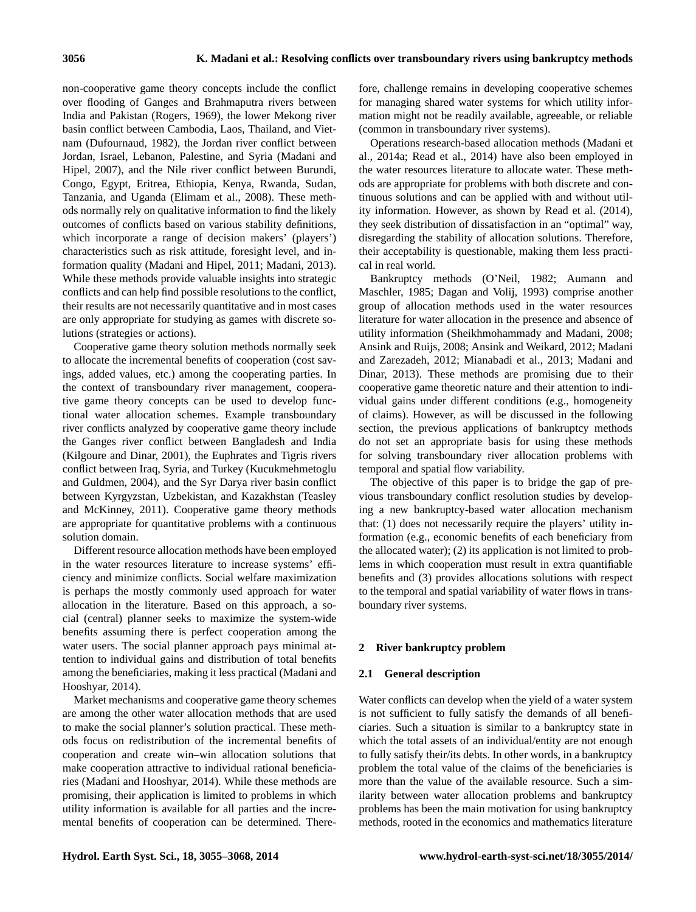non-cooperative game theory concepts include the conflict over flooding of Ganges and Brahmaputra rivers between India and Pakistan (Rogers, 1969), the lower Mekong river basin conflict between Cambodia, Laos, Thailand, and Vietnam (Dufournaud, 1982), the Jordan river conflict between Jordan, Israel, Lebanon, Palestine, and Syria (Madani and Hipel, 2007), and the Nile river conflict between Burundi, Congo, Egypt, Eritrea, Ethiopia, Kenya, Rwanda, Sudan, Tanzania, and Uganda (Elimam et al., 2008). These methods normally rely on qualitative information to find the likely outcomes of conflicts based on various stability definitions, which incorporate a range of decision makers' (players') characteristics such as risk attitude, foresight level, and information quality (Madani and Hipel, 2011; Madani, 2013). While these methods provide valuable insights into strategic conflicts and can help find possible resolutions to the conflict, their results are not necessarily quantitative and in most cases are only appropriate for studying as games with discrete solutions (strategies or actions).

Cooperative game theory solution methods normally seek to allocate the incremental benefits of cooperation (cost savings, added values, etc.) among the cooperating parties. In the context of transboundary river management, cooperative game theory concepts can be used to develop functional water allocation schemes. Example transboundary river conflicts analyzed by cooperative game theory include the Ganges river conflict between Bangladesh and India (Kilgoure and Dinar, 2001), the Euphrates and Tigris rivers conflict between Iraq, Syria, and Turkey (Kucukmehmetoglu and Guldmen, 2004), and the Syr Darya river basin conflict between Kyrgyzstan, Uzbekistan, and Kazakhstan (Teasley and McKinney, 2011). Cooperative game theory methods are appropriate for quantitative problems with a continuous solution domain.

Different resource allocation methods have been employed in the water resources literature to increase systems' efficiency and minimize conflicts. Social welfare maximization is perhaps the mostly commonly used approach for water allocation in the literature. Based on this approach, a social (central) planner seeks to maximize the system-wide benefits assuming there is perfect cooperation among the water users. The social planner approach pays minimal attention to individual gains and distribution of total benefits among the beneficiaries, making it less practical (Madani and Hooshyar, 2014).

Market mechanisms and cooperative game theory schemes are among the other water allocation methods that are used to make the social planner's solution practical. These methods focus on redistribution of the incremental benefits of cooperation and create win–win allocation solutions that make cooperation attractive to individual rational beneficiaries (Madani and Hooshyar, 2014). While these methods are promising, their application is limited to problems in which utility information is available for all parties and the incremental benefits of cooperation can be determined. There-

fore, challenge remains in developing cooperative schemes for managing shared water systems for which utility information might not be readily available, agreeable, or reliable (common in transboundary river systems).

Operations research-based allocation methods (Madani et al., 2014a; Read et al., 2014) have also been employed in the water resources literature to allocate water. These methods are appropriate for problems with both discrete and continuous solutions and can be applied with and without utility information. However, as shown by Read et al. (2014), they seek distribution of dissatisfaction in an "optimal" way, disregarding the stability of allocation solutions. Therefore, their acceptability is questionable, making them less practical in real world.

Bankruptcy methods (O'Neil, 1982; Aumann and Maschler, 1985; Dagan and Volij, 1993) comprise another group of allocation methods used in the water resources literature for water allocation in the presence and absence of utility information (Sheikhmohammady and Madani, 2008; Ansink and Ruijs, 2008; Ansink and Weikard, 2012; Madani and Zarezadeh, 2012; Mianabadi et al., 2013; Madani and Dinar, 2013). These methods are promising due to their cooperative game theoretic nature and their attention to individual gains under different conditions (e.g., homogeneity of claims). However, as will be discussed in the following section, the previous applications of bankruptcy methods do not set an appropriate basis for using these methods for solving transboundary river allocation problems with temporal and spatial flow variability.

The objective of this paper is to bridge the gap of previous transboundary conflict resolution studies by developing a new bankruptcy-based water allocation mechanism that: (1) does not necessarily require the players' utility information (e.g., economic benefits of each beneficiary from the allocated water); (2) its application is not limited to problems in which cooperation must result in extra quantifiable benefits and (3) provides allocations solutions with respect to the temporal and spatial variability of water flows in transboundary river systems.

# **2 River bankruptcy problem**

# **2.1 General description**

Water conflicts can develop when the yield of a water system is not sufficient to fully satisfy the demands of all beneficiaries. Such a situation is similar to a bankruptcy state in which the total assets of an individual/entity are not enough to fully satisfy their/its debts. In other words, in a bankruptcy problem the total value of the claims of the beneficiaries is more than the value of the available resource. Such a similarity between water allocation problems and bankruptcy problems has been the main motivation for using bankruptcy methods, rooted in the economics and mathematics literature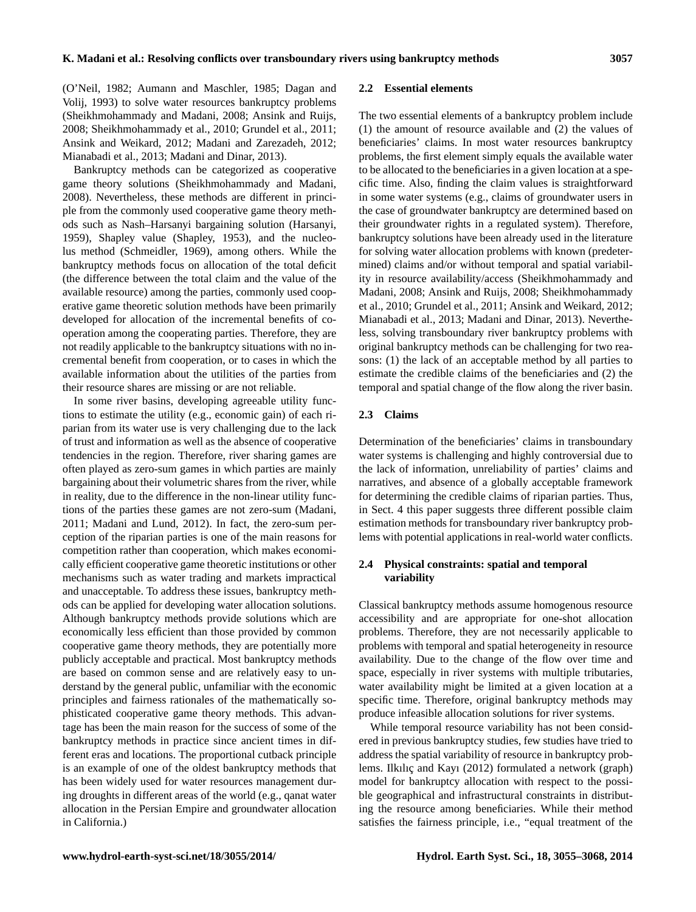(O'Neil, 1982; Aumann and Maschler, 1985; Dagan and Volij, 1993) to solve water resources bankruptcy problems (Sheikhmohammady and Madani, 2008; Ansink and Ruijs, 2008; Sheikhmohammady et al., 2010; Grundel et al., 2011; Ansink and Weikard, 2012; Madani and Zarezadeh, 2012; Mianabadi et al., 2013; Madani and Dinar, 2013).

Bankruptcy methods can be categorized as cooperative game theory solutions (Sheikhmohammady and Madani, 2008). Nevertheless, these methods are different in principle from the commonly used cooperative game theory methods such as Nash–Harsanyi bargaining solution (Harsanyi, 1959), Shapley value (Shapley, 1953), and the nucleolus method (Schmeidler, 1969), among others. While the bankruptcy methods focus on allocation of the total deficit (the difference between the total claim and the value of the available resource) among the parties, commonly used cooperative game theoretic solution methods have been primarily developed for allocation of the incremental benefits of cooperation among the cooperating parties. Therefore, they are not readily applicable to the bankruptcy situations with no incremental benefit from cooperation, or to cases in which the available information about the utilities of the parties from their resource shares are missing or are not reliable.

In some river basins, developing agreeable utility functions to estimate the utility (e.g., economic gain) of each riparian from its water use is very challenging due to the lack of trust and information as well as the absence of cooperative tendencies in the region. Therefore, river sharing games are often played as zero-sum games in which parties are mainly bargaining about their volumetric shares from the river, while in reality, due to the difference in the non-linear utility functions of the parties these games are not zero-sum (Madani, 2011; Madani and Lund, 2012). In fact, the zero-sum perception of the riparian parties is one of the main reasons for competition rather than cooperation, which makes economically efficient cooperative game theoretic institutions or other mechanisms such as water trading and markets impractical and unacceptable. To address these issues, bankruptcy methods can be applied for developing water allocation solutions. Although bankruptcy methods provide solutions which are economically less efficient than those provided by common cooperative game theory methods, they are potentially more publicly acceptable and practical. Most bankruptcy methods are based on common sense and are relatively easy to understand by the general public, unfamiliar with the economic principles and fairness rationales of the mathematically sophisticated cooperative game theory methods. This advantage has been the main reason for the success of some of the bankruptcy methods in practice since ancient times in different eras and locations. The proportional cutback principle is an example of one of the oldest bankruptcy methods that has been widely used for water resources management during droughts in different areas of the world (e.g., qanat water allocation in the Persian Empire and groundwater allocation in California.)

#### **2.2 Essential elements**

The two essential elements of a bankruptcy problem include (1) the amount of resource available and (2) the values of beneficiaries' claims. In most water resources bankruptcy problems, the first element simply equals the available water to be allocated to the beneficiaries in a given location at a specific time. Also, finding the claim values is straightforward in some water systems (e.g., claims of groundwater users in the case of groundwater bankruptcy are determined based on their groundwater rights in a regulated system). Therefore, bankruptcy solutions have been already used in the literature for solving water allocation problems with known (predetermined) claims and/or without temporal and spatial variability in resource availability/access (Sheikhmohammady and Madani, 2008; Ansink and Ruijs, 2008; Sheikhmohammady et al., 2010; Grundel et al., 2011; Ansink and Weikard, 2012; Mianabadi et al., 2013; Madani and Dinar, 2013). Nevertheless, solving transboundary river bankruptcy problems with original bankruptcy methods can be challenging for two reasons: (1) the lack of an acceptable method by all parties to estimate the credible claims of the beneficiaries and (2) the temporal and spatial change of the flow along the river basin.

#### **2.3 Claims**

Determination of the beneficiaries' claims in transboundary water systems is challenging and highly controversial due to the lack of information, unreliability of parties' claims and narratives, and absence of a globally acceptable framework for determining the credible claims of riparian parties. Thus, in Sect. 4 this paper suggests three different possible claim estimation methods for transboundary river bankruptcy problems with potential applications in real-world water conflicts.

## **2.4 Physical constraints: spatial and temporal variability**

Classical bankruptcy methods assume homogenous resource accessibility and are appropriate for one-shot allocation problems. Therefore, they are not necessarily applicable to problems with temporal and spatial heterogeneity in resource availability. Due to the change of the flow over time and space, especially in river systems with multiple tributaries, water availability might be limited at a given location at a specific time. Therefore, original bankruptcy methods may produce infeasible allocation solutions for river systems.

While temporal resource variability has not been considered in previous bankruptcy studies, few studies have tried to address the spatial variability of resource in bankruptcy problems. Ilkılıç and Kayı (2012) formulated a network (graph) model for bankruptcy allocation with respect to the possible geographical and infrastructural constraints in distributing the resource among beneficiaries. While their method satisfies the fairness principle, i.e., "equal treatment of the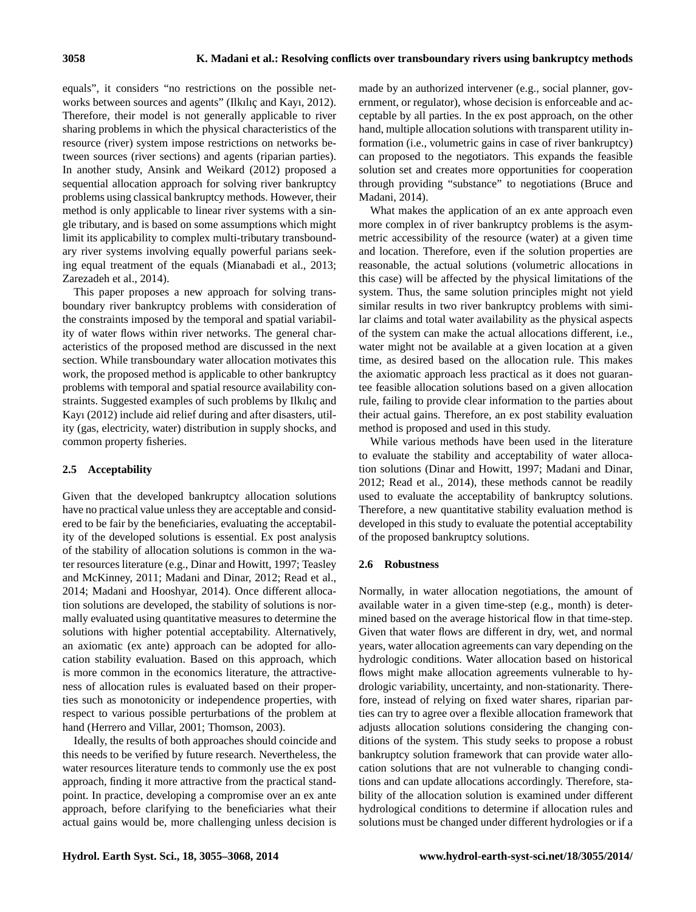equals", it considers "no restrictions on the possible networks between sources and agents" (Ilkılıç and Kayı, 2012). Therefore, their model is not generally applicable to river sharing problems in which the physical characteristics of the resource (river) system impose restrictions on networks between sources (river sections) and agents (riparian parties). In another study, Ansink and Weikard (2012) proposed a sequential allocation approach for solving river bankruptcy problems using classical bankruptcy methods. However, their method is only applicable to linear river systems with a single tributary, and is based on some assumptions which might limit its applicability to complex multi-tributary transboundary river systems involving equally powerful parians seeking equal treatment of the equals (Mianabadi et al., 2013; Zarezadeh et al., 2014).

This paper proposes a new approach for solving transboundary river bankruptcy problems with consideration of the constraints imposed by the temporal and spatial variability of water flows within river networks. The general characteristics of the proposed method are discussed in the next section. While transboundary water allocation motivates this work, the proposed method is applicable to other bankruptcy problems with temporal and spatial resource availability constraints. Suggested examples of such problems by Ilkılıç and Kayı (2012) include aid relief during and after disasters, utility (gas, electricity, water) distribution in supply shocks, and common property fisheries.

# **2.5 Acceptability**

Given that the developed bankruptcy allocation solutions have no practical value unless they are acceptable and considered to be fair by the beneficiaries, evaluating the acceptability of the developed solutions is essential. Ex post analysis of the stability of allocation solutions is common in the water resources literature (e.g., Dinar and Howitt, 1997; Teasley and McKinney, 2011; Madani and Dinar, 2012; Read et al., 2014; Madani and Hooshyar, 2014). Once different allocation solutions are developed, the stability of solutions is normally evaluated using quantitative measures to determine the solutions with higher potential acceptability. Alternatively, an axiomatic (ex ante) approach can be adopted for allocation stability evaluation. Based on this approach, which is more common in the economics literature, the attractiveness of allocation rules is evaluated based on their properties such as monotonicity or independence properties, with respect to various possible perturbations of the problem at hand (Herrero and Villar, 2001; Thomson, 2003).

Ideally, the results of both approaches should coincide and this needs to be verified by future research. Nevertheless, the water resources literature tends to commonly use the ex post approach, finding it more attractive from the practical standpoint. In practice, developing a compromise over an ex ante approach, before clarifying to the beneficiaries what their actual gains would be, more challenging unless decision is made by an authorized intervener (e.g., social planner, government, or regulator), whose decision is enforceable and acceptable by all parties. In the ex post approach, on the other hand, multiple allocation solutions with transparent utility information (i.e., volumetric gains in case of river bankruptcy) can proposed to the negotiators. This expands the feasible solution set and creates more opportunities for cooperation through providing "substance" to negotiations (Bruce and Madani, 2014).

What makes the application of an ex ante approach even more complex in of river bankruptcy problems is the asymmetric accessibility of the resource (water) at a given time and location. Therefore, even if the solution properties are reasonable, the actual solutions (volumetric allocations in this case) will be affected by the physical limitations of the system. Thus, the same solution principles might not yield similar results in two river bankruptcy problems with similar claims and total water availability as the physical aspects of the system can make the actual allocations different, i.e., water might not be available at a given location at a given time, as desired based on the allocation rule. This makes the axiomatic approach less practical as it does not guarantee feasible allocation solutions based on a given allocation rule, failing to provide clear information to the parties about their actual gains. Therefore, an ex post stability evaluation method is proposed and used in this study.

While various methods have been used in the literature to evaluate the stability and acceptability of water allocation solutions (Dinar and Howitt, 1997; Madani and Dinar, 2012; Read et al., 2014), these methods cannot be readily used to evaluate the acceptability of bankruptcy solutions. Therefore, a new quantitative stability evaluation method is developed in this study to evaluate the potential acceptability of the proposed bankruptcy solutions.

# **2.6 Robustness**

Normally, in water allocation negotiations, the amount of available water in a given time-step (e.g., month) is determined based on the average historical flow in that time-step. Given that water flows are different in dry, wet, and normal years, water allocation agreements can vary depending on the hydrologic conditions. Water allocation based on historical flows might make allocation agreements vulnerable to hydrologic variability, uncertainty, and non-stationarity. Therefore, instead of relying on fixed water shares, riparian parties can try to agree over a flexible allocation framework that adjusts allocation solutions considering the changing conditions of the system. This study seeks to propose a robust bankruptcy solution framework that can provide water allocation solutions that are not vulnerable to changing conditions and can update allocations accordingly. Therefore, stability of the allocation solution is examined under different hydrological conditions to determine if allocation rules and solutions must be changed under different hydrologies or if a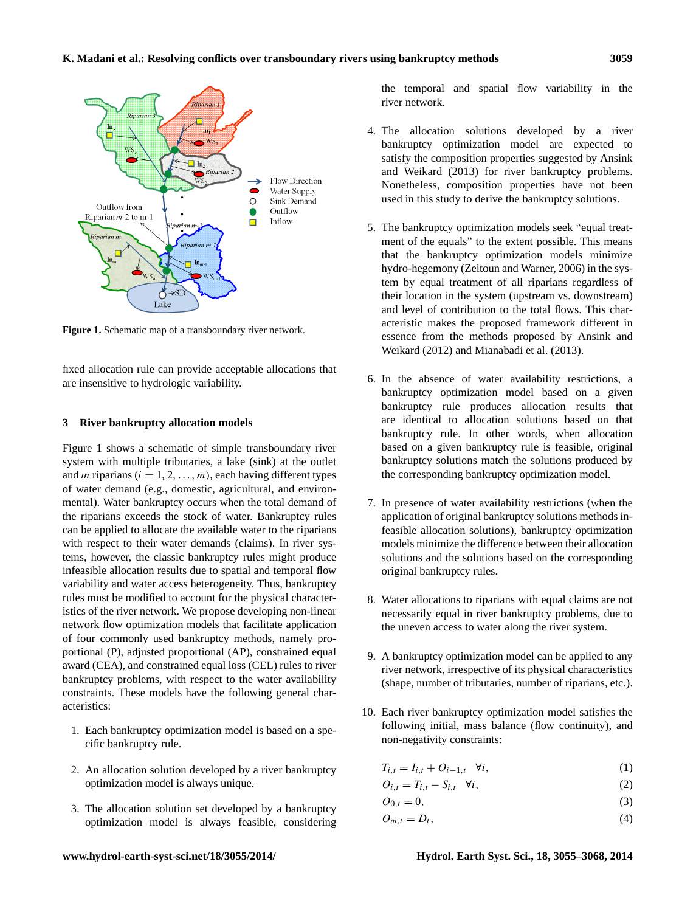

Figure 1. Schematic map of a transboundary river network.

fixed allocation rule can provide acceptable allocations that are insensitive to hydrologic variability.

## **3 River bankruptcy allocation models**

Figure 1 shows a schematic of simple transboundary river system with multiple tributaries, a lake (sink) at the outlet and *m* riparians  $(i = 1, 2, ..., m)$ , each having different types of water demand (e.g., domestic, agricultural, and environmental). Water bankruptcy occurs when the total demand of the riparians exceeds the stock of water. Bankruptcy rules can be applied to allocate the available water to the riparians with respect to their water demands (claims). In river systems, however, the classic bankruptcy rules might produce infeasible allocation results due to spatial and temporal flow variability and water access heterogeneity. Thus, bankruptcy rules must be modified to account for the physical characteristics of the river network. We propose developing non-linear network flow optimization models that facilitate application of four commonly used bankruptcy methods, namely proportional (P), adjusted proportional (AP), constrained equal award (CEA), and constrained equal loss (CEL) rules to river bankruptcy problems, with respect to the water availability constraints. These models have the following general characteristics:

- 1. Each bankruptcy optimization model is based on a specific bankruptcy rule.
- 2. An allocation solution developed by a river bankruptcy optimization model is always unique.
- 3. The allocation solution set developed by a bankruptcy optimization model is always feasible, considering

the temporal and spatial flow variability in the river network.

- 4. The allocation solutions developed by a river bankruptcy optimization model are expected to satisfy the composition properties suggested by Ansink and Weikard (2013) for river bankruptcy problems. Nonetheless, composition properties have not been used in this study to derive the bankruptcy solutions.
- 5. The bankruptcy optimization models seek "equal treatment of the equals" to the extent possible. This means that the bankruptcy optimization models minimize hydro-hegemony (Zeitoun and Warner, 2006) in the system by equal treatment of all riparians regardless of their location in the system (upstream vs. downstream) and level of contribution to the total flows. This characteristic makes the proposed framework different in essence from the methods proposed by Ansink and Weikard (2012) and Mianabadi et al. (2013).
- 6. In the absence of water availability restrictions, a bankruptcy optimization model based on a given bankruptcy rule produces allocation results that are identical to allocation solutions based on that bankruptcy rule. In other words, when allocation based on a given bankruptcy rule is feasible, original bankruptcy solutions match the solutions produced by the corresponding bankruptcy optimization model.
- 7. In presence of water availability restrictions (when the application of original bankruptcy solutions methods infeasible allocation solutions), bankruptcy optimization models minimize the difference between their allocation solutions and the solutions based on the corresponding original bankruptcy rules.
- 8. Water allocations to riparians with equal claims are not necessarily equal in river bankruptcy problems, due to the uneven access to water along the river system.
- 9. A bankruptcy optimization model can be applied to any river network, irrespective of its physical characteristics (shape, number of tributaries, number of riparians, etc.).
- 10. Each river bankruptcy optimization model satisfies the following initial, mass balance (flow continuity), and non-negativity constraints:

$$
T_{i,t} = I_{i,t} + O_{i-1,t} \quad \forall i,
$$
\n(1)

- $O_{i,t} = T_{i,t} S_{i,t} \quad \forall i,$  (2)
- $O_{0,t} = 0,$  (3)
- $O_{m,t} = D_t,$  (4)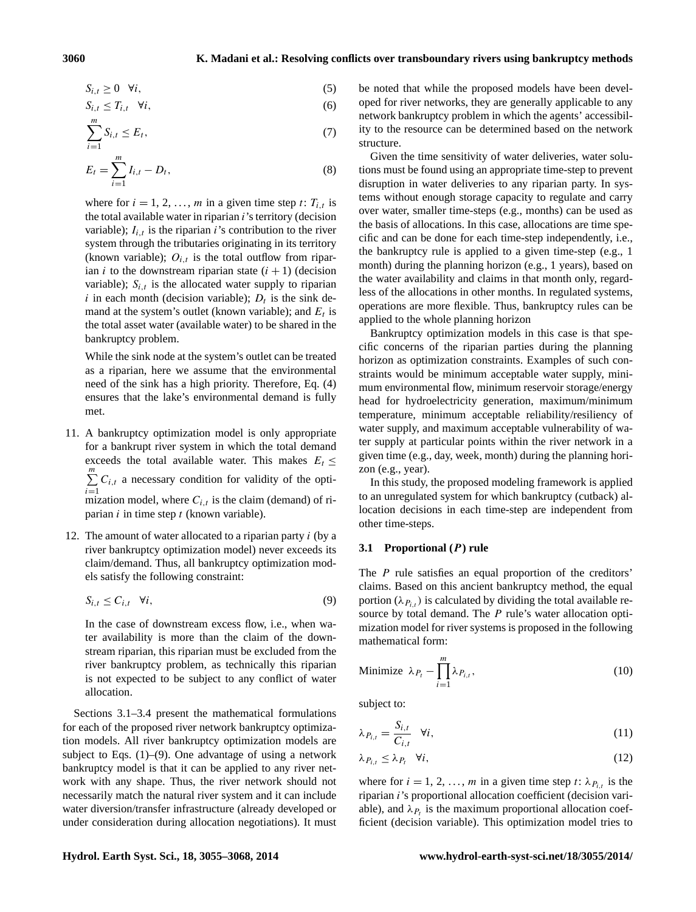$$
S_{i,t} \geq 0 \quad \forall i,\tag{5}
$$

$$
S_{i,t} \leq T_{i,t} \quad \forall i,
$$
\n<sup>(6)</sup>

$$
\sum_{i=1}^{m} S_{i,t} \leq E_t,\tag{7}
$$

$$
E_t = \sum_{i=1}^{m} I_{i,t} - D_t,
$$
\n(8)

where for  $i = 1, 2, ..., m$  in a given time step t:  $T_{i,t}$  is the total available water in riparian i's territory (decision variable);  $I_{i,t}$  is the riparian i's contribution to the river system through the tributaries originating in its territory (known variable);  $O_{i,t}$  is the total outflow from riparian *i* to the downstream riparian state  $(i + 1)$  (decision variable);  $S_{i,t}$  is the allocated water supply to riparian i in each month (decision variable);  $D_t$  is the sink demand at the system's outlet (known variable); and  $E_t$  is the total asset water (available water) to be shared in the bankruptcy problem.

While the sink node at the system's outlet can be treated as a riparian, here we assume that the environmental need of the sink has a high priority. Therefore, Eq. (4) ensures that the lake's environmental demand is fully met.

11. A bankruptcy optimization model is only appropriate for a bankrupt river system in which the total demand exceeds the total available water. This makes  $E_t \leq$  $\sum^m$  $\sum_{i=1}$  C<sub>i,t</sub> a necessary condition for validity of the optimization model, where  $C_{i,t}$  is the claim (demand) of ri-

parian  $i$  in time step  $t$  (known variable).

12. The amount of water allocated to a riparian party  $i$  (by a river bankruptcy optimization model) never exceeds its claim/demand. Thus, all bankruptcy optimization models satisfy the following constraint:

$$
S_{i,t} \le C_{i,t} \quad \forall i,
$$
\n<sup>(9)</sup>

In the case of downstream excess flow, i.e., when water availability is more than the claim of the downstream riparian, this riparian must be excluded from the river bankruptcy problem, as technically this riparian is not expected to be subject to any conflict of water allocation.

Sections 3.1–3.4 present the mathematical formulations for each of the proposed river network bankruptcy optimization models. All river bankruptcy optimization models are subject to Eqs. (1)–(9). One advantage of using a network bankruptcy model is that it can be applied to any river network with any shape. Thus, the river network should not necessarily match the natural river system and it can include water diversion/transfer infrastructure (already developed or under consideration during allocation negotiations). It must be noted that while the proposed models have been developed for river networks, they are generally applicable to any network bankruptcy problem in which the agents' accessibility to the resource can be determined based on the network structure.

Given the time sensitivity of water deliveries, water solutions must be found using an appropriate time-step to prevent disruption in water deliveries to any riparian party. In systems without enough storage capacity to regulate and carry over water, smaller time-steps (e.g., months) can be used as the basis of allocations. In this case, allocations are time specific and can be done for each time-step independently, i.e., the bankruptcy rule is applied to a given time-step (e.g., 1 month) during the planning horizon (e.g., 1 years), based on the water availability and claims in that month only, regardless of the allocations in other months. In regulated systems, operations are more flexible. Thus, bankruptcy rules can be applied to the whole planning horizon

Bankruptcy optimization models in this case is that specific concerns of the riparian parties during the planning horizon as optimization constraints. Examples of such constraints would be minimum acceptable water supply, minimum environmental flow, minimum reservoir storage/energy head for hydroelectricity generation, maximum/minimum temperature, minimum acceptable reliability/resiliency of water supply, and maximum acceptable vulnerability of water supply at particular points within the river network in a given time (e.g., day, week, month) during the planning horizon (e.g., year).

In this study, the proposed modeling framework is applied to an unregulated system for which bankruptcy (cutback) allocation decisions in each time-step are independent from other time-steps.

### **3.1 Proportional (**P**) rule**

The P rule satisfies an equal proportion of the creditors' claims. Based on this ancient bankruptcy method, the equal portion  $(\lambda_{P_{i,t}})$  is calculated by dividing the total available resource by total demand. The P rule's water allocation optimization model for river systems is proposed in the following mathematical form:

Minimize 
$$
\lambda_{P_t} - \prod_{i=1}^{m} \lambda_{P_{i,t}},
$$
 (10)

subject to:

$$
\lambda_{P_{i,t}} = \frac{S_{i,t}}{C_{i,t}} \quad \forall i,
$$
\n(11)

$$
\lambda_{P_{i,t}} \leq \lambda_{P_t} \quad \forall i,
$$
\n<sup>(12)</sup>

where for  $i = 1, 2, ..., m$  in a given time step t:  $\lambda_{P_{i,t}}$  is the riparian i's proportional allocation coefficient (decision variable), and  $\lambda_{P_t}$  is the maximum proportional allocation coefficient (decision variable). This optimization model tries to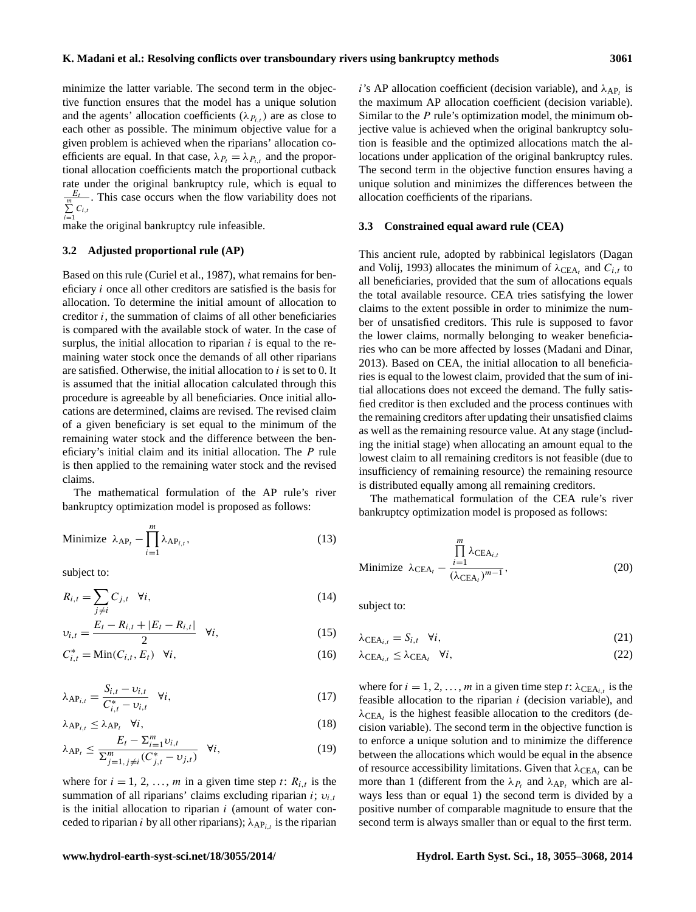minimize the latter variable. The second term in the objective function ensures that the model has a unique solution and the agents' allocation coefficients  $(\lambda_{P_{i,t}})$  are as close to each other as possible. The minimum objective value for a given problem is achieved when the riparians' allocation coefficients are equal. In that case,  $\lambda_{P_t} = \lambda_{P_{i,t}}$  and the proportional allocation coefficients match the proportional cutback rate under the original bankruptcy rule, which is equal to  $\frac{E_t}{\sum\limits_{i=1}^m C_{i,t}}$ . This case occurs when the flow variability does not

make the original bankruptcy rule infeasible.

#### **3.2 Adjusted proportional rule (AP)**

Based on this rule (Curiel et al., 1987), what remains for beneficiary i once all other creditors are satisfied is the basis for allocation. To determine the initial amount of allocation to creditor i, the summation of claims of all other beneficiaries is compared with the available stock of water. In the case of surplus, the initial allocation to riparian  $i$  is equal to the remaining water stock once the demands of all other riparians are satisfied. Otherwise, the initial allocation to  $i$  is set to 0. It is assumed that the initial allocation calculated through this procedure is agreeable by all beneficiaries. Once initial allocations are determined, claims are revised. The revised claim of a given beneficiary is set equal to the minimum of the remaining water stock and the difference between the beneficiary's initial claim and its initial allocation. The P rule is then applied to the remaining water stock and the revised claims.

The mathematical formulation of the AP rule's river bankruptcy optimization model is proposed as follows:

Minimize 
$$
\lambda_{AP_t} - \prod_{i=1}^m \lambda_{AP_{i,t}},
$$
 (13)

subject to:

$$
R_{i,t} = \sum_{j \neq i} C_{j,t} \quad \forall i,
$$
\n(14)

$$
v_{i,t} = \frac{E_t - R_{i,t} + |E_t - R_{i,t}|}{2} \quad \forall i,
$$
 (15)

$$
C_{i,t}^* = \text{Min}(C_{i,t}, E_t) \quad \forall i,
$$
\n<sup>(16)</sup>

$$
\lambda_{AP_{i,t}} = \frac{S_{i,t} - v_{i,t}}{C_{i,t}^* - v_{i,t}} \quad \forall i,
$$
\n(17)

$$
\lambda_{AP_{i,t}} \leq \lambda_{AP_t} \quad \forall i,
$$
\n(18)

$$
\lambda_{\text{AP}_{t}} \le \frac{E_{t} - \sum_{i=1}^{m} v_{i,t}}{\sum_{j=1, j \neq i}^{m} (C_{j,t}^{*} - v_{j,t})} \quad \forall i,
$$
\n(19)

where for  $i = 1, 2, ..., m$  in a given time step t:  $R_{i,t}$  is the summation of all riparians' claims excluding riparian i;  $v_{i,t}$ is the initial allocation to riparian  $i$  (amount of water conceded to riparian i by all other riparians);  $\lambda_{AP_{i,t}}$  is the riparian

i's AP allocation coefficient (decision variable), and  $\lambda_{AP_t}$  is the maximum AP allocation coefficient (decision variable). Similar to the P rule's optimization model, the minimum objective value is achieved when the original bankruptcy solution is feasible and the optimized allocations match the allocations under application of the original bankruptcy rules. The second term in the objective function ensures having a unique solution and minimizes the differences between the allocation coefficients of the riparians.

#### **3.3 Constrained equal award rule (CEA)**

This ancient rule, adopted by rabbinical legislators (Dagan and Volij, 1993) allocates the minimum of  $\lambda_{\text{CEA}_t}$  and  $C_{i,t}$  to all beneficiaries, provided that the sum of allocations equals the total available resource. CEA tries satisfying the lower claims to the extent possible in order to minimize the number of unsatisfied creditors. This rule is supposed to favor the lower claims, normally belonging to weaker beneficiaries who can be more affected by losses (Madani and Dinar, 2013). Based on CEA, the initial allocation to all beneficiaries is equal to the lowest claim, provided that the sum of initial allocations does not exceed the demand. The fully satisfied creditor is then excluded and the process continues with the remaining creditors after updating their unsatisfied claims as well as the remaining resource value. At any stage (including the initial stage) when allocating an amount equal to the lowest claim to all remaining creditors is not feasible (due to insufficiency of remaining resource) the remaining resource is distributed equally among all remaining creditors.

The mathematical formulation of the CEA rule's river bankruptcy optimization model is proposed as follows:

Minimize 
$$
\lambda_{\text{CEA}_t} - \frac{\prod_{i=1}^{m} \lambda_{\text{CEA}_{i,t}}}{(\lambda_{\text{CEA}_t})^{m-1}},
$$
 (20)

subject to:

$$
\lambda_{\text{CEA}_{i,t}} = S_{i,t} \quad \forall i,
$$
\n(21)

$$
\lambda_{\text{CEA}_{i,t}} \le \lambda_{\text{CEA}_t} \quad \forall i,
$$
\n(22)

where for  $i = 1, 2, ..., m$  in a given time step t:  $\lambda_{\text{CEA}_i}$  is the feasible allocation to the riparian  $i$  (decision variable), and  $\lambda_{\text{CEA}_t}$  is the highest feasible allocation to the creditors (decision variable). The second term in the objective function is to enforce a unique solution and to minimize the difference between the allocations which would be equal in the absence of resource accessibility limitations. Given that  $\lambda_{\text{CEA}_t}$  can be more than 1 (different from the  $\lambda_{P_t}$  and  $\lambda_{AP_t}$  which are always less than or equal 1) the second term is divided by a positive number of comparable magnitude to ensure that the second term is always smaller than or equal to the first term.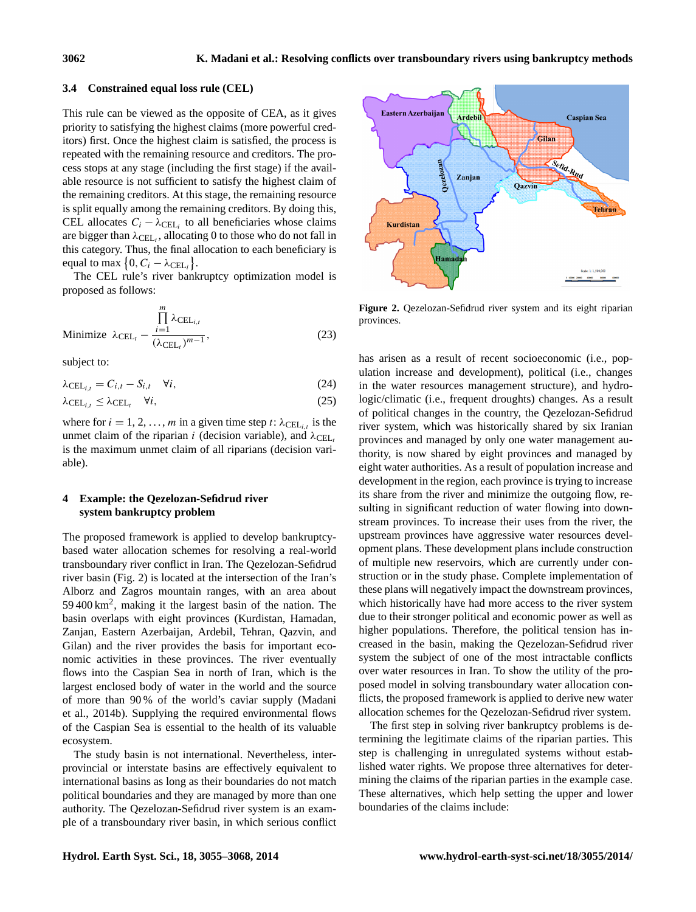#### **3.4 Constrained equal loss rule (CEL)**

This rule can be viewed as the opposite of CEA, as it gives priority to satisfying the highest claims (more powerful creditors) first. Once the highest claim is satisfied, the process is repeated with the remaining resource and creditors. The process stops at any stage (including the first stage) if the available resource is not sufficient to satisfy the highest claim of the remaining creditors. At this stage, the remaining resource is split equally among the remaining creditors. By doing this, CEL allocates  $C_i - \lambda_{\text{CEL}_i}$  to all beneficiaries whose claims are bigger than  $\lambda_{\text{CEL}_t}$ , allocating 0 to those who do not fall in this category. Thus, the final allocation to each beneficiary is equal to max  $\{0, C_i - \lambda_{\text{CEL}_i}\}.$ 

The CEL rule's river bankruptcy optimization model is proposed as follows:

Minimize 
$$
\lambda_{\text{CEL}_{t}} - \frac{\prod_{i=1}^{m} \lambda_{\text{CEL}_{i,t}}}{(\lambda_{\text{CEL}_{t}})^{m-1}},
$$
 (23)

subject to:

$$
\lambda_{\text{CEL}_{i,t}} = C_{i,t} - S_{i,t} \quad \forall i,
$$
\n(24)

$$
\lambda_{\text{CEL}_{i,t}} \leq \lambda_{\text{CEL}_{t}} \quad \forall i,
$$
\n(25)

where for  $i = 1, 2, ..., m$  in a given time step t:  $\lambda_{\text{CEL}_{i,t}}$  is the unmet claim of the riparian i (decision variable), and  $\lambda_{\text{CEL}}$ is the maximum unmet claim of all riparians (decision variable).

## **4 Example: the Qezelozan-Sefidrud river system bankruptcy problem**

The proposed framework is applied to develop bankruptcybased water allocation schemes for resolving a real-world transboundary river conflict in Iran. The Qezelozan-Sefidrud river basin (Fig. 2) is located at the intersection of the Iran's Alborz and Zagros mountain ranges, with an area about 59 400 km<sup>2</sup> , making it the largest basin of the nation. The basin overlaps with eight provinces (Kurdistan, Hamadan, Zanjan, Eastern Azerbaijan, Ardebil, Tehran, Qazvin, and Gilan) and the river provides the basis for important economic activities in these provinces. The river eventually flows into the Caspian Sea in north of Iran, which is the largest enclosed body of water in the world and the source of more than 90 % of the world's caviar supply (Madani et al., 2014b). Supplying the required environmental flows of the Caspian Sea is essential to the health of its valuable ecosystem.

The study basin is not international. Nevertheless, interprovincial or interstate basins are effectively equivalent to international basins as long as their boundaries do not match political boundaries and they are managed by more than one authority. The Qezelozan-Sefidrud river system is an example of a transboundary river basin, in which serious conflict



**Figure 2.** Qezelozan-Sefidrud river system and its eight riparian provinces.

has arisen as a result of recent socioeconomic (i.e., population increase and development), political (i.e., changes in the water resources management structure), and hydrologic/climatic (i.e., frequent droughts) changes. As a result of political changes in the country, the Qezelozan-Sefidrud river system, which was historically shared by six Iranian provinces and managed by only one water management authority, is now shared by eight provinces and managed by eight water authorities. As a result of population increase and development in the region, each province is trying to increase its share from the river and minimize the outgoing flow, resulting in significant reduction of water flowing into downstream provinces. To increase their uses from the river, the upstream provinces have aggressive water resources development plans. These development plans include construction of multiple new reservoirs, which are currently under construction or in the study phase. Complete implementation of these plans will negatively impact the downstream provinces, which historically have had more access to the river system due to their stronger political and economic power as well as higher populations. Therefore, the political tension has increased in the basin, making the Qezelozan-Sefidrud river system the subject of one of the most intractable conflicts over water resources in Iran. To show the utility of the proposed model in solving transboundary water allocation conflicts, the proposed framework is applied to derive new water allocation schemes for the Qezelozan-Sefidrud river system.

The first step in solving river bankruptcy problems is determining the legitimate claims of the riparian parties. This step is challenging in unregulated systems without established water rights. We propose three alternatives for determining the claims of the riparian parties in the example case. These alternatives, which help setting the upper and lower boundaries of the claims include: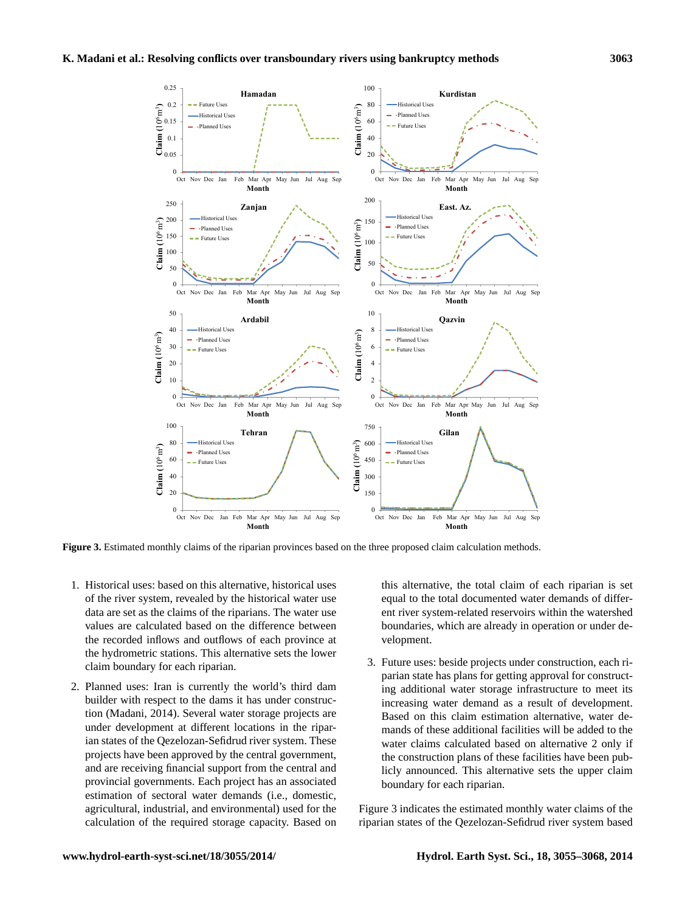

Figure 3. Estimated monthly claims of the riparian provinces based on the three proposed claim **Figure 3.** Estimated monthly claims of the riparian provinces based on the three proposed claim calculation methods.

- 1. Historical uses: based on this alternative, historical uses of the river system, revealed by the historical water use data are set as the claims of the riparians. The water use values are calculated based on the difference between the recorded inflows and outflows of each province at the hydrometric stations. This alternative sets the lower claim boundary for each riparian.
- 2. Planned uses: Iran is currently the world's third dam builder with respect to the dams it has under construction (Madani, 2014). Several water storage projects are under development at different locations in the riparian states of the Qezelozan-Sefidrud river system. These projects have been approved by the central government, and are receiving financial support from the central and provincial governments. Each project has an associated estimation of sectoral water demands (i.e., domestic, agricultural, industrial, and environmental) used for the calculation of the required storage capacity. Based on

this alternative, the total claim of each riparian is set equal to the total documented water demands of different river system-related reservoirs within the watershed boundaries, which are already in operation or under development.

3. Future uses: beside projects under construction, each riparian state has plans for getting approval for constructing additional water storage infrastructure to meet its increasing water demand as a result of development. Based on this claim estimation alternative, water demands of these additional facilities will be added to the water claims calculated based on alternative 2 only if the construction plans of these facilities have been publicly announced. This alternative sets the upper claim boundary for each riparian.

Figure 3 indicates the estimated monthly water claims of the riparian states of the Qezelozan-Sefidrud river system based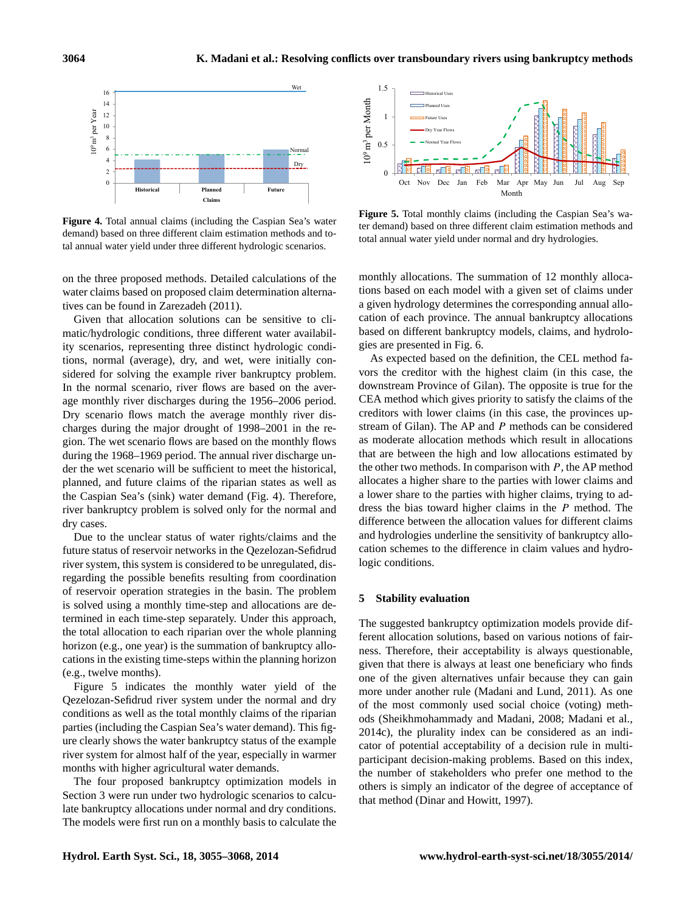

**Figure 4.** Total annual claims (including the Caspian Sea's water demand) based on three different claim estimation methods and total annual water yield under three different hydrologic scenarios.

on the three proposed methods. Detailed calculations of the water claims based on proposed claim determination alternatives can be found in Zarezadeh (2011).

Given that allocation solutions can be sensitive to climatic/hydrologic conditions, three different water availability scenarios, representing three distinct hydrologic conditions, normal (average), dry, and wet, were initially considered for solving the example river bankruptcy problem. In the normal scenario, river flows are based on the average monthly river discharges during the 1956–2006 period. Dry scenario flows match the average monthly river discharges during the major drought of 1998–2001 in the region. The wet scenario flows are based on the monthly flows during the 1968–1969 period. The annual river discharge under the wet scenario will be sufficient to meet the historical, planned, and future claims of the riparian states as well as the Caspian Sea's (sink) water demand (Fig. 4). Therefore, river bankruptcy problem is solved only for the normal and dry cases.

Due to the unclear status of water rights/claims and the future status of reservoir networks in the Qezelozan-Sefidrud river system, this system is considered to be unregulated, disregarding the possible benefits resulting from coordination of reservoir operation strategies in the basin. The problem is solved using a monthly time-step and allocations are determined in each time-step separately. Under this approach, the total allocation to each riparian over the whole planning horizon (e.g., one year) is the summation of bankruptcy allocations in the existing time-steps within the planning horizon (e.g., twelve months).

Figure 5 indicates the monthly water yield of the Qezelozan-Sefidrud river system under the normal and dry conditions as well as the total monthly claims of the riparian parties (including the Caspian Sea's water demand). This figure clearly shows the water bankruptcy status of the example river system for almost half of the year, especially in warmer months with higher agricultural water demands.

The four proposed bankruptcy optimization models in Section 3 were run under two hydrologic scenarios to calculate bankruptcy allocations under normal and dry conditions. The models were first run on a monthly basis to calculate the



 $\frac{1}{2}$   $\frac{1}{2}$   $\frac{1}{2}$  monthly claims (including Caspian Sea)  $\frac{1}{2}$  was different  $\frac{1}{2}$  including water dependent ter demand) based on three different claim estimation methods and dry hydrologies **Figure 5.** Total monthly claims (including the Caspian Sea's watotal annual water yield under normal and dry hydrologies.

monthly allocations. The summation of 12 monthly allocations based on each model with a given set of claims under a given hydrology determines the corresponding annual allocation of each province. The annual bankruptcy allocations based on different bankruptcy models, claims, and hydrologies are presented in Fig. 6.

As expected based on the definition, the CEL method favors the creditor with the highest claim (in this case, the downstream Province of Gilan). The opposite is true for the CEA method which gives priority to satisfy the claims of the creditors with lower claims (in this case, the provinces upstream of Gilan). The AP and P methods can be considered as moderate allocation methods which result in allocations that are between the high and low allocations estimated by the other two methods. In comparison with  $P$ , the AP method allocates a higher share to the parties with lower claims and a lower share to the parties with higher claims, trying to address the bias toward higher claims in the P method. The difference between the allocation values for different claims and hydrologies underline the sensitivity of bankruptcy allocation schemes to the difference in claim values and hydrologic conditions.

#### **5 Stability evaluation**

The suggested bankruptcy optimization models provide different allocation solutions, based on various notions of fairness. Therefore, their acceptability is always questionable, given that there is always at least one beneficiary who finds one of the given alternatives unfair because they can gain more under another rule (Madani and Lund, 2011). As one of the most commonly used social choice (voting) methods (Sheikhmohammady and Madani, 2008; Madani et al., 2014c), the plurality index can be considered as an indicator of potential acceptability of a decision rule in multiparticipant decision-making problems. Based on this index, the number of stakeholders who prefer one method to the others is simply an indicator of the degree of acceptance of that method (Dinar and Howitt, 1997).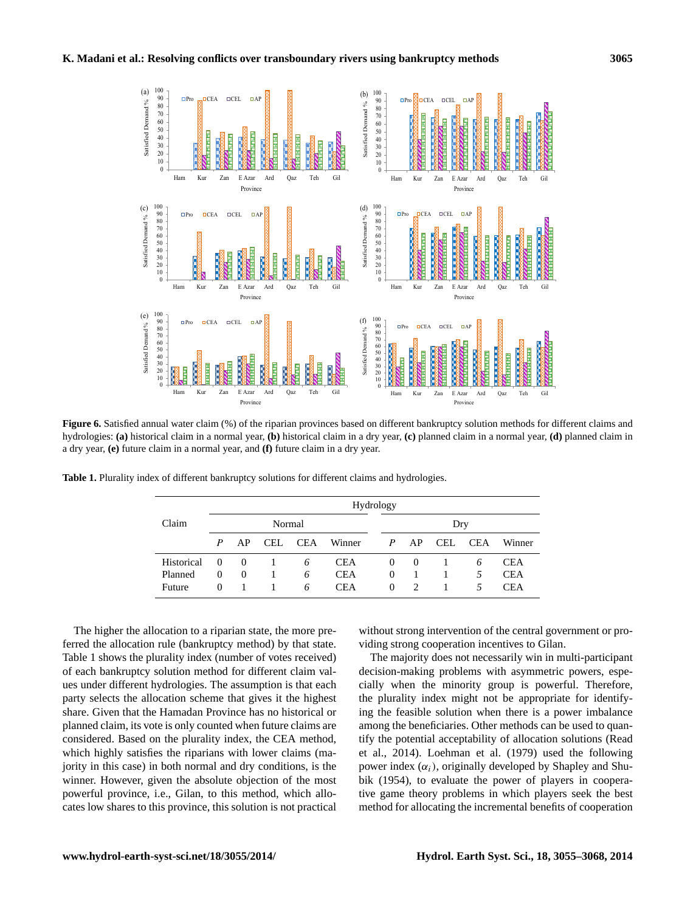

hydrologies: (a) historical claim in a normal year, (b) historical claim in a dry year, (c) planned claim in a normal year, (d) planned claim in a dry year, **(e)** future claim in a normal year, and **(f)** future claim in a dry year. year, b: historical claim in dry year, c: planned claim in normal year, d: planned claim in dry Figure 6. Satisfied annual water claim (%) of the riparian provinces based on different bankruptcy solution methods for different claims and

|            | Hydrology |                  |      |            |            |          |               |      |            |            |  |
|------------|-----------|------------------|------|------------|------------|----------|---------------|------|------------|------------|--|
| Claim      | Normal    |                  |      |            |            |          | Dry           |      |            |            |  |
|            | P         | AP               | CEL. | <b>CEA</b> | Winner     | P        | AP            | CEL. | <b>CEA</b> | Winner     |  |
| Historical | $\theta$  | $\Omega$         |      | 6          | <b>CEA</b> | $\left($ | $\theta$      |      | 6          | <b>CEA</b> |  |
| Planned    | $\Omega$  | $\boldsymbol{0}$ | L    | 6          | <b>CEA</b> | $\theta$ | 1             |      | 5          | <b>CEA</b> |  |
| Future     | $\theta$  |                  |      | 6          | <b>CEA</b> | $\theta$ | $\mathcal{L}$ |      | 5          | <b>CEA</b> |  |

Table 1. Plurality index of different bankruptcy solutions for different claims and hydrologies.

The higher the allocation to a riparian state, the more preferred the allocation rule (bankruptcy method) by that state. Table 1 shows the plurality index (number of votes received) of each bankruptcy solution method for different claim values under different hydrologies. The assumption is that each party selects the allocation scheme that gives it the highest share. Given that the Hamadan Province has no historical or planned claim, its vote is only counted when future claims are considered. Based on the plurality index, the CEA method, which highly satisfies the riparians with lower claims (majority in this case) in both normal and dry conditions, is the winner. However, given the absolute objection of the most powerful province, i.e., Gilan, to this method, which allocates low shares to this province, this solution is not practical

without strong intervention of the central government or providing strong cooperation incentives to Gilan.

The majority does not necessarily win in multi-participant decision-making problems with asymmetric powers, especially when the minority group is powerful. Therefore, the plurality index might not be appropriate for identifying the feasible solution when there is a power imbalance among the beneficiaries. Other methods can be used to quantify the potential acceptability of allocation solutions (Read et al., 2014). Loehman et al. (1979) used the following power index  $(\alpha_i)$ , originally developed by Shapley and Shubik (1954), to evaluate the power of players in cooperative game theory problems in which players seek the best method for allocating the incremental benefits of cooperation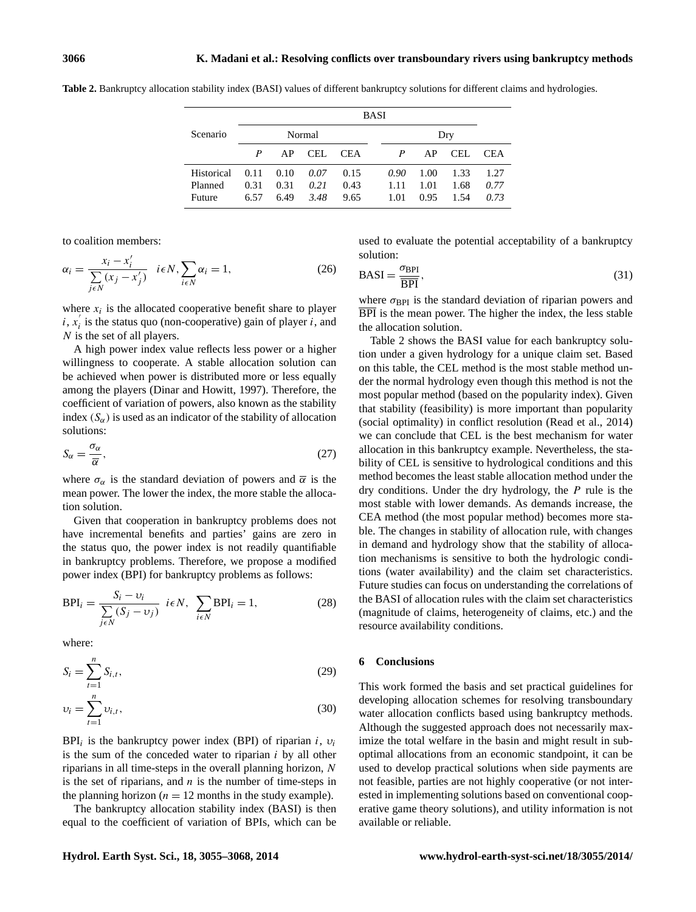|            | <b>BASI</b> |      |        |      |      |      |      |            |  |
|------------|-------------|------|--------|------|------|------|------|------------|--|
| Scenario   |             |      | Normal |      |      | Dry  |      |            |  |
|            | P           | AP   | CEL.   | CEA  | P    | AP.  | CEL. | <b>CEA</b> |  |
| Historical | 0.11        | 0.10 | 0.07   | 0.15 | 0.90 | 1.00 | 1.33 | 1.27       |  |
| Planned    | 0.31        | 0.31 | 0.21   | 0.43 | 1.11 | 1.01 | 1.68 | 0.77       |  |
| Future     | 6.57        | 6.49 | 3.48   | 9.65 | 1.01 | 0.95 | 1.54 | 0.73       |  |

**Table 2.** Bankruptcy allocation stability index (BASI) values of different bankruptcy solutions for different claims and hydrologies.

to coalition members:

$$
\alpha_i = \frac{x_i - x'_i}{\sum_{j \in N} (x_j - x'_j)} \quad i \in N, \sum_{i \in N} \alpha_i = 1,\tag{26}
$$

where  $x_i$  is the allocated cooperative benefit share to player  $i, x_i^{'}$  $i$  is the status quo (non-cooperative) gain of player i, and N is the set of all players.

A high power index value reflects less power or a higher willingness to cooperate. A stable allocation solution can be achieved when power is distributed more or less equally among the players (Dinar and Howitt, 1997). Therefore, the coefficient of variation of powers, also known as the stability index  $(S_{\alpha})$  is used as an indicator of the stability of allocation solutions:

$$
S_{\alpha} = \frac{\sigma_{\alpha}}{\overline{\alpha}},\tag{27}
$$

where  $\sigma_{\alpha}$  is the standard deviation of powers and  $\bar{\alpha}$  is the mean power. The lower the index, the more stable the allocation solution.

Given that cooperation in bankruptcy problems does not have incremental benefits and parties' gains are zero in the status quo, the power index is not readily quantifiable in bankruptcy problems. Therefore, we propose a modified power index (BPI) for bankruptcy problems as follows:

$$
BPI_i = \frac{S_i - v_i}{\sum_{j \in N} (S_j - v_j)} \quad i \in N, \quad \sum_{i \in N} BPI_i = 1,
$$
\n(28)

where:

$$
S_i = \sum_{t=1}^{n} S_{i,t},
$$
\n(29)

$$
v_i = \sum_{t=1}^{n} v_{i,t},
$$
\n(30)

 $BPI_i$  is the bankruptcy power index (BPI) of riparian i,  $v_i$ is the sum of the conceded water to riparian  $i$  by all other riparians in all time-steps in the overall planning horizon, N is the set of riparians, and  $n$  is the number of time-steps in the planning horizon ( $n = 12$  months in the study example).

The bankruptcy allocation stability index (BASI) is then equal to the coefficient of variation of BPIs, which can be used to evaluate the potential acceptability of a bankruptcy solution:

$$
BASI = \frac{\sigma_{BPI}}{\overline{BPI}},\tag{31}
$$

where  $\sigma_{\rm BPI}$  is the standard deviation of riparian powers and BPI is the mean power. The higher the index, the less stable the allocation solution.

Table 2 shows the BASI value for each bankruptcy solution under a given hydrology for a unique claim set. Based on this table, the CEL method is the most stable method under the normal hydrology even though this method is not the most popular method (based on the popularity index). Given that stability (feasibility) is more important than popularity (social optimality) in conflict resolution (Read et al., 2014) we can conclude that CEL is the best mechanism for water allocation in this bankruptcy example. Nevertheless, the stability of CEL is sensitive to hydrological conditions and this method becomes the least stable allocation method under the dry conditions. Under the dry hydrology, the P rule is the most stable with lower demands. As demands increase, the CEA method (the most popular method) becomes more stable. The changes in stability of allocation rule, with changes in demand and hydrology show that the stability of allocation mechanisms is sensitive to both the hydrologic conditions (water availability) and the claim set characteristics. Future studies can focus on understanding the correlations of the BASI of allocation rules with the claim set characteristics (magnitude of claims, heterogeneity of claims, etc.) and the resource availability conditions.

### **6 Conclusions**

This work formed the basis and set practical guidelines for developing allocation schemes for resolving transboundary water allocation conflicts based using bankruptcy methods. Although the suggested approach does not necessarily maximize the total welfare in the basin and might result in suboptimal allocations from an economic standpoint, it can be used to develop practical solutions when side payments are not feasible, parties are not highly cooperative (or not interested in implementing solutions based on conventional cooperative game theory solutions), and utility information is not available or reliable.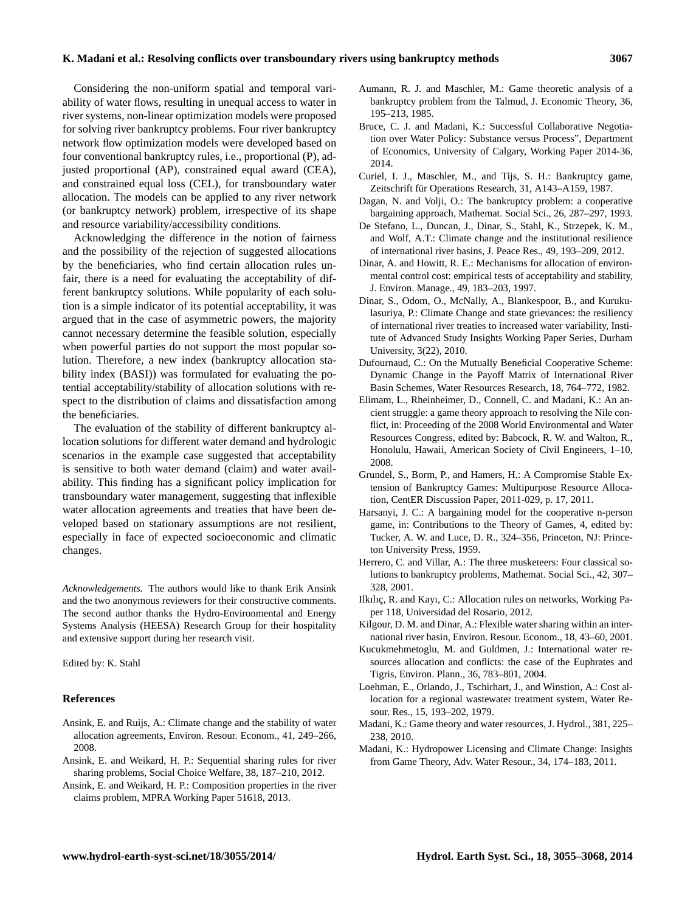#### **K. Madani et al.: Resolving conflicts over transboundary rivers using bankruptcy methods 3067**

Considering the non-uniform spatial and temporal variability of water flows, resulting in unequal access to water in river systems, non-linear optimization models were proposed for solving river bankruptcy problems. Four river bankruptcy network flow optimization models were developed based on four conventional bankruptcy rules, i.e., proportional (P), adjusted proportional (AP), constrained equal award (CEA), and constrained equal loss (CEL), for transboundary water allocation. The models can be applied to any river network (or bankruptcy network) problem, irrespective of its shape and resource variability/accessibility conditions.

Acknowledging the difference in the notion of fairness and the possibility of the rejection of suggested allocations by the beneficiaries, who find certain allocation rules unfair, there is a need for evaluating the acceptability of different bankruptcy solutions. While popularity of each solution is a simple indicator of its potential acceptability, it was argued that in the case of asymmetric powers, the majority cannot necessary determine the feasible solution, especially when powerful parties do not support the most popular solution. Therefore, a new index (bankruptcy allocation stability index (BASI)) was formulated for evaluating the potential acceptability/stability of allocation solutions with respect to the distribution of claims and dissatisfaction among the beneficiaries.

The evaluation of the stability of different bankruptcy allocation solutions for different water demand and hydrologic scenarios in the example case suggested that acceptability is sensitive to both water demand (claim) and water availability. This finding has a significant policy implication for transboundary water management, suggesting that inflexible water allocation agreements and treaties that have been developed based on stationary assumptions are not resilient, especially in face of expected socioeconomic and climatic changes.

*Acknowledgements.* The authors would like to thank Erik Ansink and the two anonymous reviewers for their constructive comments. The second author thanks the Hydro-Environmental and Energy Systems Analysis (HEESA) Research Group for their hospitality and extensive support during her research visit.

Edited by: K. Stahl

#### **References**

- Ansink, E. and Ruijs, A.: Climate change and the stability of water allocation agreements, Environ. Resour. Econom., 41, 249–266, 2008.
- Ansink, E. and Weikard, H. P.: Sequential sharing rules for river sharing problems, Social Choice Welfare, 38, 187–210, 2012.
- Ansink, E. and Weikard, H. P.: Composition properties in the river claims problem, MPRA Working Paper 51618, 2013.
- Aumann, R. J. and Maschler, M.: Game theoretic analysis of a bankruptcy problem from the Talmud, J. Economic Theory, 36, 195–213, 1985.
- Bruce, C. J. and Madani, K.: Successful Collaborative Negotiation over Water Policy: Substance versus Process", Department of Economics, University of Calgary, Working Paper 2014-36, 2014.
- Curiel, I. J., Maschler, M., and Tijs, S. H.: Bankruptcy game, Zeitschrift für Operations Research, 31, A143–A159, 1987.
- Dagan, N. and Volji, O.: The bankruptcy problem: a cooperative bargaining approach, Mathemat. Social Sci., 26, 287–297, 1993.
- De Stefano, L., Duncan, J., Dinar, S., Stahl, K., Strzepek, K. M., and Wolf, A.T.: Climate change and the institutional resilience of international river basins, J. Peace Res., 49, 193–209, 2012.
- Dinar, A. and Howitt, R. E.: Mechanisms for allocation of environmental control cost: empirical tests of acceptability and stability, J. Environ. Manage., 49, 183–203, 1997.
- Dinar, S., Odom, O., McNally, A., Blankespoor, B., and Kurukulasuriya, P.: Climate Change and state grievances: the resiliency of international river treaties to increased water variability, Institute of Advanced Study Insights Working Paper Series, Durham University, 3(22), 2010.
- Dufournaud, C.: On the Mutually Beneficial Cooperative Scheme: Dynamic Change in the Payoff Matrix of International River Basin Schemes, Water Resources Research, 18, 764–772, 1982.
- Elimam, L., Rheinheimer, D., Connell, C. and Madani, K.: An ancient struggle: a game theory approach to resolving the Nile conflict, in: Proceeding of the 2008 World Environmental and Water Resources Congress, edited by: Babcock, R. W. and Walton, R., Honolulu, Hawaii, American Society of Civil Engineers, 1–10, 2008.
- Grundel, S., Borm, P., and Hamers, H.: A Compromise Stable Extension of Bankruptcy Games: Multipurpose Resource Allocation, CentER Discussion Paper, 2011-029, p. 17, 2011.
- Harsanyi, J. C.: A bargaining model for the cooperative n-person game, in: Contributions to the Theory of Games, 4, edited by: Tucker, A. W. and Luce, D. R., 324–356, Princeton, NJ: Princeton University Press, 1959.
- Herrero, C. and Villar, A.: The three musketeers: Four classical solutions to bankruptcy problems, Mathemat. Social Sci., 42, 307– 328, 2001.
- Ilkılıç, R. and Kayı, C.: Allocation rules on networks, Working Paper 118, Universidad del Rosario, 2012.
- Kilgour, D. M. and Dinar, A.: Flexible water sharing within an international river basin, Environ. Resour. Econom., 18, 43–60, 2001.
- Kucukmehmetoglu, M. and Guldmen, J.: International water resources allocation and conflicts: the case of the Euphrates and Tigris, Environ. Plann., 36, 783–801, 2004.
- Loehman, E., Orlando, J., Tschirhart, J., and Winstion, A.: Cost allocation for a regional wastewater treatment system, Water Resour. Res., 15, 193–202, 1979.
- Madani, K.: Game theory and water resources, J. Hydrol., 381, 225– 238, 2010.
- Madani, K.: Hydropower Licensing and Climate Change: Insights from Game Theory, Adv. Water Resour., 34, 174–183, 2011.